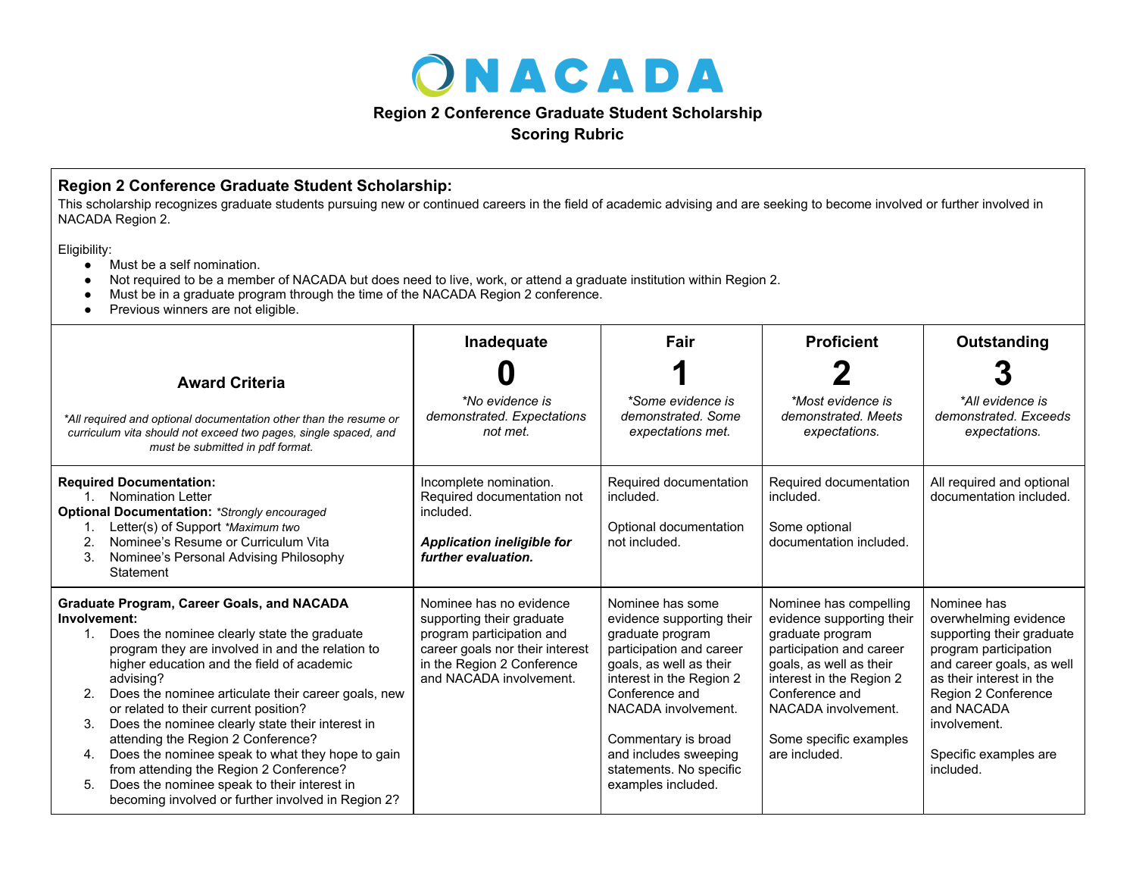

## **Region 2 Conference Graduate Student Scholarship**

**Scoring Rubric**

## **Region 2 Conference Graduate Student Scholarship:**

This scholarship recognizes graduate students pursuing new or continued careers in the field of academic advising and are seeking to become involved or further involved in NACADA Region 2.

Eligibility:

- Must be a self nomination.
- Not required to be a member of NACADA but does need to live, work, or attend a graduate institution within Region 2.
- Must be in a graduate program through the time of the NACADA Region 2 conference.
- Previous winners are not eligible.

|                                                                                                                                                                                                                                                                                                                                                                                                                                                                                                                                                                                                                                                             | Inadequate                                                                                                                                                                    | Fair                                                                                                                                                                                                                                                                                           | <b>Proficient</b>                                                                                                                                                                                                                              | Outstanding                                                                                                                                                                                                                                    |
|-------------------------------------------------------------------------------------------------------------------------------------------------------------------------------------------------------------------------------------------------------------------------------------------------------------------------------------------------------------------------------------------------------------------------------------------------------------------------------------------------------------------------------------------------------------------------------------------------------------------------------------------------------------|-------------------------------------------------------------------------------------------------------------------------------------------------------------------------------|------------------------------------------------------------------------------------------------------------------------------------------------------------------------------------------------------------------------------------------------------------------------------------------------|------------------------------------------------------------------------------------------------------------------------------------------------------------------------------------------------------------------------------------------------|------------------------------------------------------------------------------------------------------------------------------------------------------------------------------------------------------------------------------------------------|
| <b>Award Criteria</b>                                                                                                                                                                                                                                                                                                                                                                                                                                                                                                                                                                                                                                       |                                                                                                                                                                               |                                                                                                                                                                                                                                                                                                |                                                                                                                                                                                                                                                |                                                                                                                                                                                                                                                |
| *All required and optional documentation other than the resume or<br>curriculum vita should not exceed two pages, single spaced, and<br>must be submitted in pdf format.                                                                                                                                                                                                                                                                                                                                                                                                                                                                                    | *No evidence is<br>demonstrated. Expectations<br>not met.                                                                                                                     | *Some evidence is<br>demonstrated. Some<br>expectations met.                                                                                                                                                                                                                                   | *Most evidence is<br>demonstrated. Meets<br>expectations.                                                                                                                                                                                      | *All evidence is<br>demonstrated. Exceeds<br>expectations.                                                                                                                                                                                     |
| <b>Required Documentation:</b><br><b>Nomination Letter</b><br><b>Optional Documentation: *Strongly encouraged</b><br>Letter(s) of Support *Maximum two<br>Nominee's Resume or Curriculum Vita<br>2.<br>3.<br>Nominee's Personal Advising Philosophy<br>Statement                                                                                                                                                                                                                                                                                                                                                                                            | Incomplete nomination.<br>Required documentation not<br>included.<br><b>Application ineligible for</b><br>further evaluation.                                                 | Required documentation<br>included.<br>Optional documentation<br>not included.                                                                                                                                                                                                                 | Required documentation<br>included.<br>Some optional<br>documentation included.                                                                                                                                                                | All required and optional<br>documentation included.                                                                                                                                                                                           |
| <b>Graduate Program, Career Goals, and NACADA</b><br>Involvement:<br>Does the nominee clearly state the graduate<br>1.<br>program they are involved in and the relation to<br>higher education and the field of academic<br>advising?<br>Does the nominee articulate their career goals, new<br>2.<br>or related to their current position?<br>Does the nominee clearly state their interest in<br>3.<br>attending the Region 2 Conference?<br>Does the nominee speak to what they hope to gain<br>4.<br>from attending the Region 2 Conference?<br>Does the nominee speak to their interest in<br>5.<br>becoming involved or further involved in Region 2? | Nominee has no evidence<br>supporting their graduate<br>program participation and<br>career goals nor their interest<br>in the Region 2 Conference<br>and NACADA involvement. | Nominee has some<br>evidence supporting their<br>graduate program<br>participation and career<br>goals, as well as their<br>interest in the Region 2<br>Conference and<br>NACADA involvement.<br>Commentary is broad<br>and includes sweeping<br>statements. No specific<br>examples included. | Nominee has compelling<br>evidence supporting their<br>graduate program<br>participation and career<br>goals, as well as their<br>interest in the Region 2<br>Conference and<br>NACADA involvement.<br>Some specific examples<br>are included. | Nominee has<br>overwhelming evidence<br>supporting their graduate<br>program participation<br>and career goals, as well<br>as their interest in the<br>Region 2 Conference<br>and NACADA<br>involvement.<br>Specific examples are<br>included. |